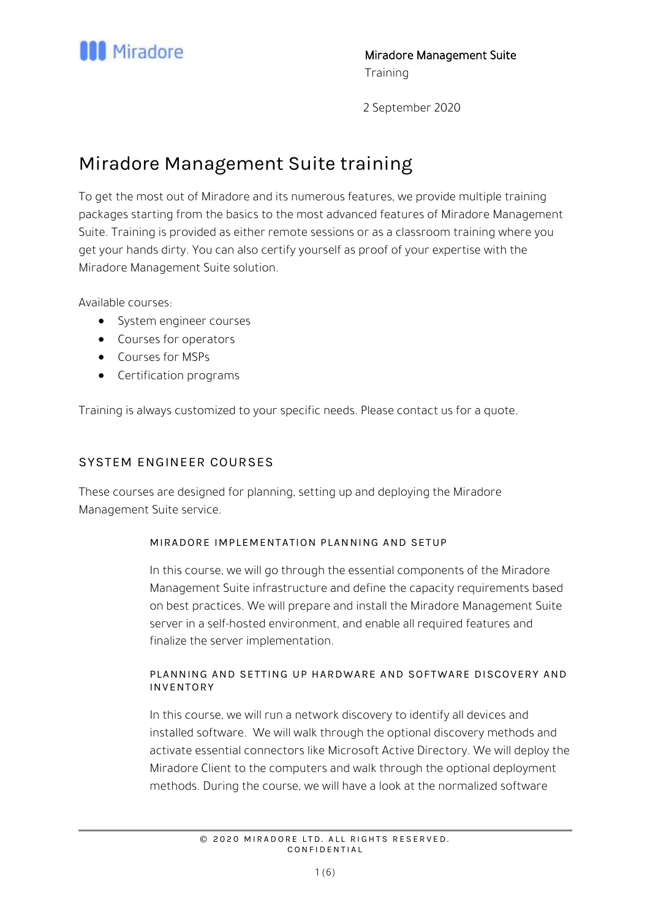

# Miradore Management Suite training

To get the most out of Miradore and its numerous features, we provide multiple training packages starting from the basics to the most advanced features of Miradore Management Suite. Training is provided as either remote sessions or as a classroom training where you get your hands dirty. You can also certify yourself as proof of your expertise with the Miradore Management Suite solution.

Available courses:

- System engineer courses
- Courses for operators
- Courses for MSPs
- Certification programs

Training is always customized to your specific needs. Please contact us for a quote.

# SYSTEM ENGINEER COURSES

These courses are designed for planning, setting up and deploying the Miradore Management Suite service.

## MIRADORE IMPLEMENTATION PLAN NING AND SETUP

In this course, we will go through the essential components of the Miradore Management Suite infrastructure and define the capacity requirements based on best practices. We will prepare and install the Miradore Management Suite server in a self-hosted environment, and enable all required features and finalize the server implementation.

## PLANNING AND SETTING UP HARDWARE AND SOFTWARE DISCOVERY AND INVENTORY

In this course, we will run a network discovery to identify all devices and installed software. We will walk through the optional discovery methods and activate essential connectors like Microsoft Active Directory. We will deploy the Miradore Client to the computers and walk through the optional deployment methods. During the course, we will have a look at the normalized software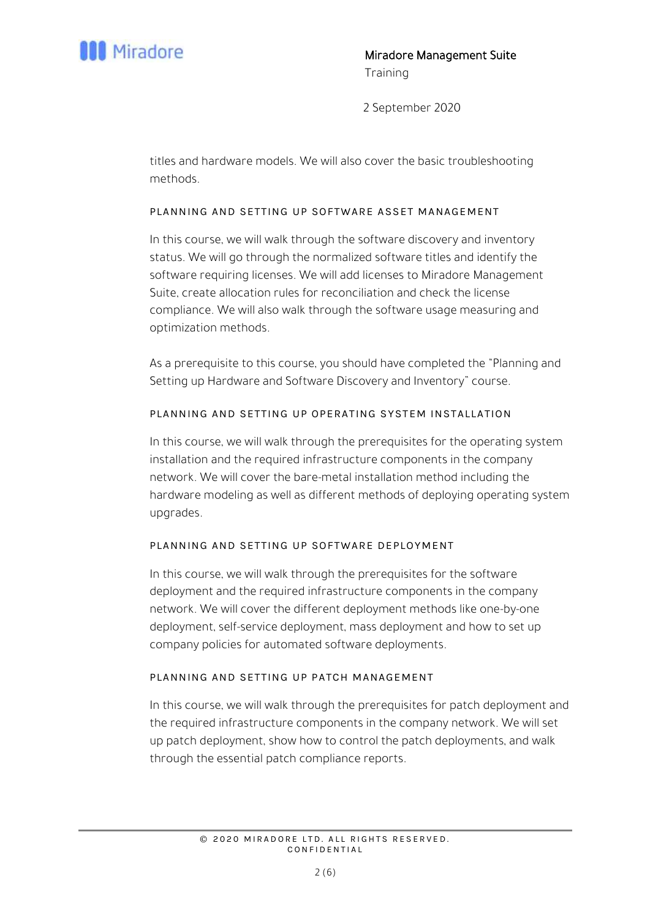

titles and hardware models. We will also cover the basic troubleshooting methods.

## PLANNING AND SETTING UP SOFTWARE ASSET MANAGEMENT

In this course, we will walk through the software discovery and inventory status. We will go through the normalized software titles and identify the software requiring licenses. We will add licenses to Miradore Management Suite, create allocation rules for reconciliation and check the license compliance. We will also walk through the software usage measuring and optimization methods.

As a prerequisite to this course, you should have completed the "Planning and Setting up Hardware and Software Discovery and Inventory" course.

## PLANNING AND SETTING UP OPERATING SYSTEM INSTALLATION

In this course, we will walk through the prerequisites for the operating system installation and the required infrastructure components in the company network. We will cover the bare-metal installation method including the hardware modeling as well as different methods of deploying operating system upgrades.

## PLANNING AND SETTING UP SOFTWARE DEPLOYMENT

In this course, we will walk through the prerequisites for the software deployment and the required infrastructure components in the company network. We will cover the different deployment methods like one-by-one deployment, self-service deployment, mass deployment and how to set up company policies for automated software deployments.

## PLANNING AND SETTING UP PATCH MANAGEMENT

In this course, we will walk through the prerequisites for patch deployment and the required infrastructure components in the company network. We will set up patch deployment, show how to control the patch deployments, and walk through the essential patch compliance reports.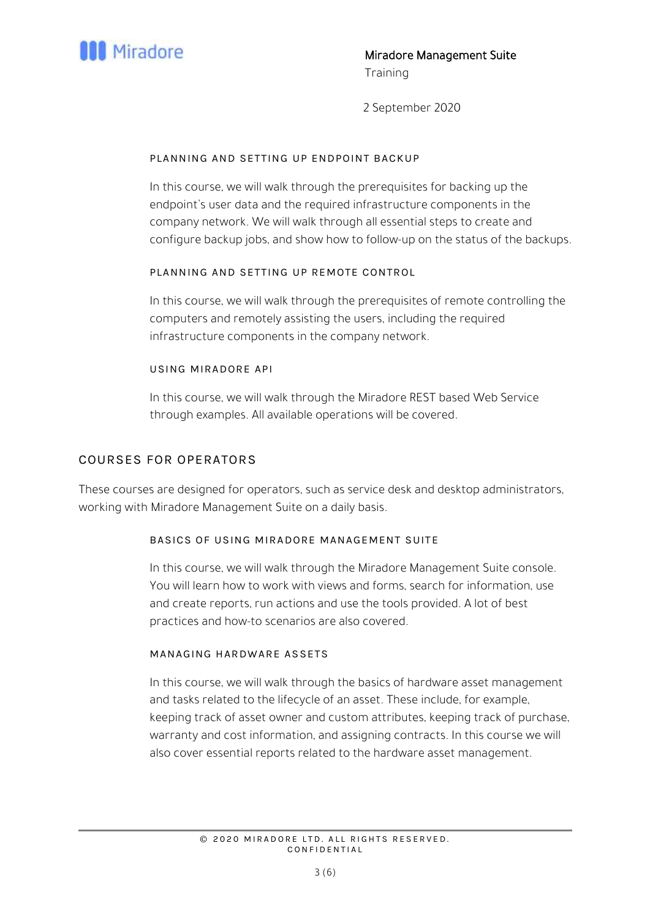

#### PLANNING AND SETTING UP ENDPOINT BACKUP

In this course, we will walk through the prerequisites for backing up the endpoint's user data and the required infrastructure components in the company network. We will walk through all essential steps to create and configure backup jobs, and show how to follow-up on the status of the backups.

## PLANNING AND SETTING UP REMOTE CONTROL

In this course, we will walk through the prerequisites of remote controlling the computers and remotely assisting the users, including the required infrastructure components in the company network.

## USING MIRADORE API

In this course, we will walk through the Miradore REST based Web Service through examples. All available operations will be covered.

## COURSES FOR OPERATORS

These courses are designed for operators, such as service desk and desktop administrators, working with Miradore Management Suite on a daily basis.

#### BASICS OF USING MIRADORE MANAGEMENT SUITE

In this course, we will walk through the Miradore Management Suite console. You will learn how to work with views and forms, search for information, use and create reports, run actions and use the tools provided. A lot of best practices and how-to scenarios are also covered.

#### MANAGING HARDWARE AS SETS

In this course, we will walk through the basics of hardware asset management and tasks related to the lifecycle of an asset. These include, for example, keeping track of asset owner and custom attributes, keeping track of purchase, warranty and cost information, and assigning contracts. In this course we will also cover essential reports related to the hardware asset management.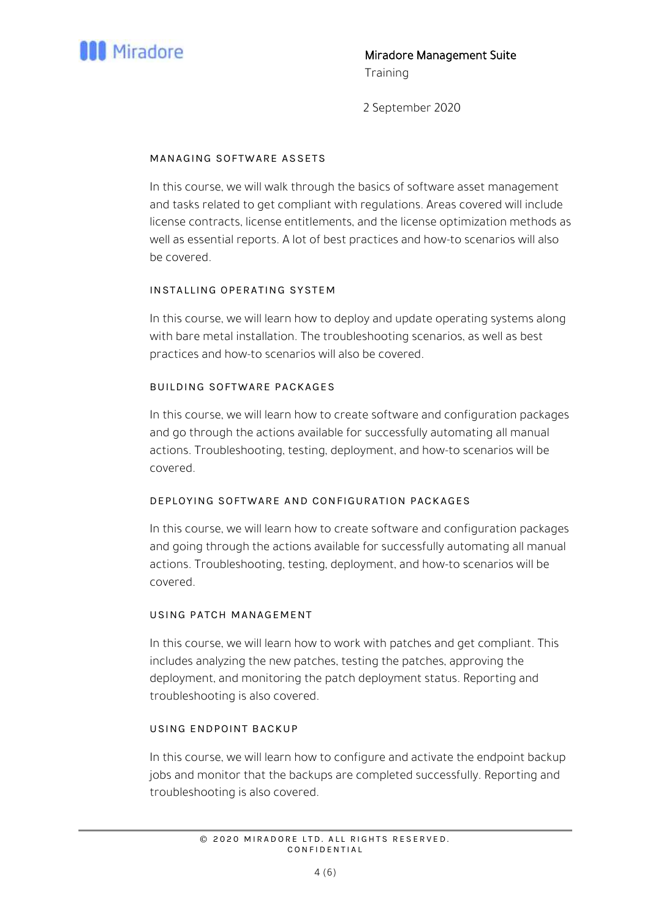

#### MANAGING SOFTWARE AS SETS

In this course, we will walk through the basics of software asset management and tasks related to get compliant with regulations. Areas covered will include license contracts, license entitlements, and the license optimization methods as well as essential reports. A lot of best practices and how-to scenarios will also be covered.

## INSTALLING OPERATING SYSTEM

In this course, we will learn how to deploy and update operating systems along with bare metal installation. The troubleshooting scenarios, as well as best practices and how-to scenarios will also be covered.

## BUILDING SOFTWARE PACKAGES

In this course, we will learn how to create software and configuration packages and go through the actions available for successfully automating all manual actions. Troubleshooting, testing, deployment, and how-to scenarios will be covered.

## DEPLOYING SOFTWARE AND CONFIGURATION PACKAGES

In this course, we will learn how to create software and configuration packages and going through the actions available for successfully automating all manual actions. Troubleshooting, testing, deployment, and how-to scenarios will be covered.

#### USING PATCH MANAGEMENT

In this course, we will learn how to work with patches and get compliant. This includes analyzing the new patches, testing the patches, approving the deployment, and monitoring the patch deployment status. Reporting and troubleshooting is also covered.

#### USING ENDPOINT BACKUP

In this course, we will learn how to configure and activate the endpoint backup jobs and monitor that the backups are completed successfully. Reporting and troubleshooting is also covered.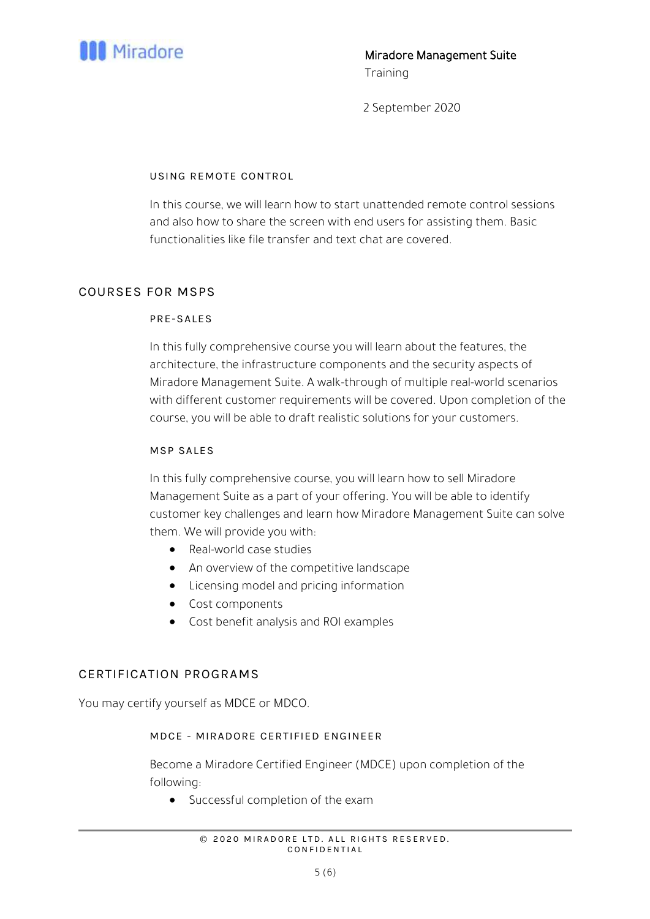

## USING REMOTE CONTROL

In this course, we will learn how to start unattended remote control sessions and also how to share the screen with end users for assisting them. Basic functionalities like file transfer and text chat are covered.

## COURSES FOR MSPS

## PRE-SALES

In this fully comprehensive course you will learn about the features, the architecture, the infrastructure components and the security aspects of Miradore Management Suite. A walk-through of multiple real-world scenarios with different customer requirements will be covered. Upon completion of the course, you will be able to draft realistic solutions for your customers.

## MSP SALES

In this fully comprehensive course, you will learn how to sell Miradore Management Suite as a part of your offering. You will be able to identify customer key challenges and learn how Miradore Management Suite can solve them. We will provide you with:

- Real-world case studies
- An overview of the competitive landscape
- Licensing model and pricing information
- Cost components
- Cost benefit analysis and ROI examples

## CERTIFICATION PROGRAMS

You may certify yourself as MDCE or MDCO.

#### MDCE - MIRADORE CERTIFIED ENGINEER

Become a Miradore Certified Engineer (MDCE) upon completion of the following:

• Successful completion of the exam